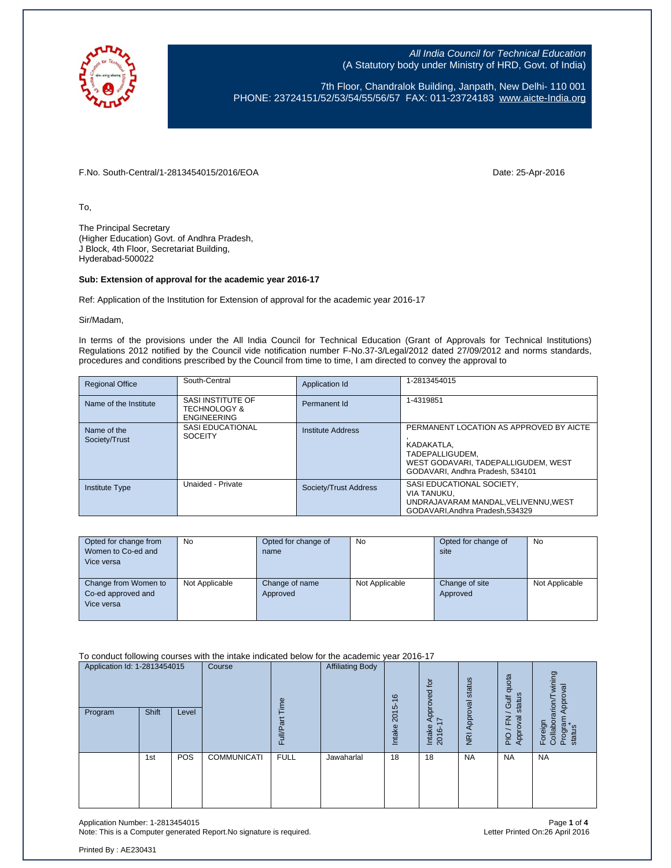

7th Floor, Chandralok Building, Janpath, New Delhi- 110 001 PHONE: 23724151/52/53/54/55/56/57 FAX: 011-23724183 [www.aicte-India.org](http://www.aicte-india.org/)

F.No. South-Central/1-2813454015/2016/EOA Date: 25-Apr-2016

To,

The Principal Secretary (Higher Education) Govt. of Andhra Pradesh, J Block, 4th Floor, Secretariat Building, Hyderabad-500022

#### **Sub: Extension of approval for the academic year 2016-17**

Ref: Application of the Institution for Extension of approval for the academic year 2016-17

Sir/Madam,

In terms of the provisions under the All India Council for Technical Education (Grant of Approvals for Technical Institutions) Regulations 2012 notified by the Council vide notification number F-No.37-3/Legal/2012 dated 27/09/2012 and norms standards, procedures and conditions prescribed by the Council from time to time, I am directed to convey the approval to

| <b>Regional Office</b>       | South-Central                                                      | Application Id           | 1-2813454015                                                                                                                                        |
|------------------------------|--------------------------------------------------------------------|--------------------------|-----------------------------------------------------------------------------------------------------------------------------------------------------|
| Name of the Institute        | SASI INSTITUTE OF<br><b>TECHNOLOGY &amp;</b><br><b>ENGINEERING</b> | Permanent Id             | 1-4319851                                                                                                                                           |
| Name of the<br>Society/Trust | SASI EDUCATIONAL<br><b>SOCEITY</b>                                 | <b>Institute Address</b> | PERMANENT LOCATION AS APPROVED BY AICTE<br>KADAKATLA.<br>TADEPALLIGUDEM.<br>WEST GODAVARI. TADEPALLIGUDEM. WEST<br>GODAVARI. Andhra Pradesh. 534101 |
| <b>Institute Type</b>        | Unaided - Private                                                  | Society/Trust Address    | SASI EDUCATIONAL SOCIETY,<br>VIA TANUKU.<br>UNDRAJAVARAM MANDAL, VELIVENNU, WEST<br>GODAVARI.Andhra Pradesh.534329                                  |

| Opted for change from<br>Women to Co-ed and<br>Vice versa | <b>No</b>      | Opted for change of<br>name | No             | Opted for change of<br>site | No             |
|-----------------------------------------------------------|----------------|-----------------------------|----------------|-----------------------------|----------------|
| Change from Women to<br>Co-ed approved and<br>Vice versa  | Not Applicable | Change of name<br>Approved  | Not Applicable | Change of site<br>Approved  | Not Applicable |

To conduct following courses with the intake indicated below for the academic year 2016-17

| Application Id: 1-2813454015 |       | Course | eui                | <b>Affiliating Body</b> | $\frac{6}{2}$ | $\overline{a}$<br>Approved<br>I7 | Approval status    | quota<br>status<br>Gulf | wining<br>Approval                 |                                                 |
|------------------------------|-------|--------|--------------------|-------------------------|---------------|----------------------------------|--------------------|-------------------------|------------------------------------|-------------------------------------------------|
| Program                      | Shift | Level  |                    | Full/Pa                 |               | $2015 -$<br>Intake               | Intake<br>$2016 -$ | $\overline{g}$          | roval<br>준<br>App<br>$\frac{1}{2}$ | Foreign<br>Collaborarion/T<br>Program<br>status |
|                              | 1st   | POS    | <b>COMMUNICATI</b> | <b>FULL</b>             | Jawaharlal    | 18                               | 18                 | <b>NA</b>               | <b>NA</b>                          | <b>NA</b>                                       |

Application Number: 1-2813454015 Page **1** of **4** Note: This is a Computer generated Report.No signature is required.

Printed By : AE230431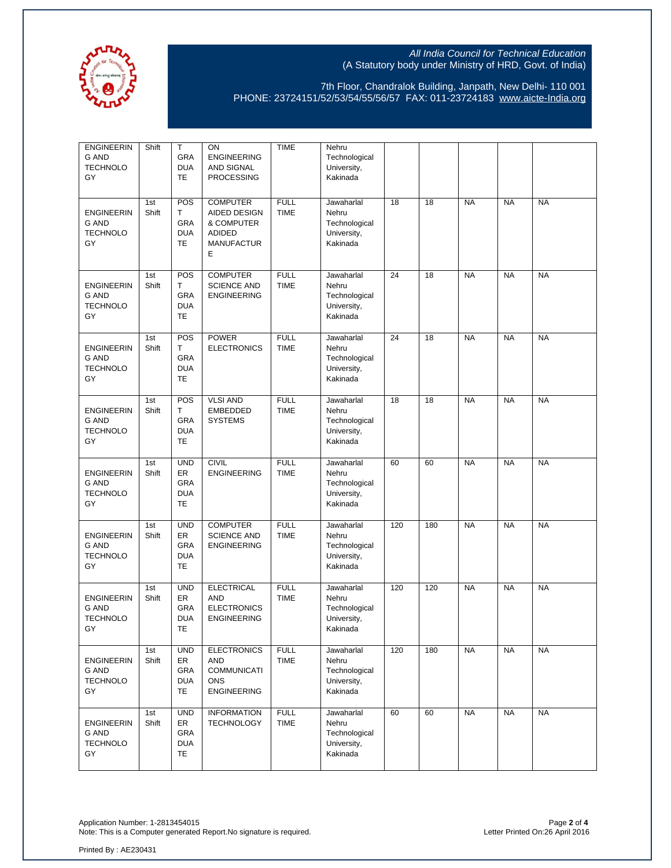

7th Floor, Chandralok Building, Janpath, New Delhi- 110 001 PHONE: 23724151/52/53/54/55/56/57 FAX: 011-23724183 [www.aicte-India.org](http://www.aicte-india.org/)

| <b>ENGINEERIN</b><br><b>G AND</b><br><b>TECHNOLO</b><br>GY | Shift        | T<br>GRA<br><b>DUA</b><br>TE                       | ON<br><b>ENGINEERING</b><br>AND SIGNAL<br><b>PROCESSING</b>                                     | <b>TIME</b>                | Nehru<br>Technological<br>University,<br>Kakinada               |     |     |           |           |           |
|------------------------------------------------------------|--------------|----------------------------------------------------|-------------------------------------------------------------------------------------------------|----------------------------|-----------------------------------------------------------------|-----|-----|-----------|-----------|-----------|
| <b>ENGINEERIN</b><br><b>G AND</b><br><b>TECHNOLO</b><br>GY | 1st<br>Shift | POS<br>T<br>GRA<br><b>DUA</b><br>TE                | <b>COMPUTER</b><br><b>AIDED DESIGN</b><br>& COMPUTER<br><b>ADIDED</b><br><b>MANUFACTUR</b><br>Е | <b>FULL</b><br><b>TIME</b> | Jawaharlal<br>Nehru<br>Technological<br>University,<br>Kakinada | 18  | 18  | <b>NA</b> | <b>NA</b> | <b>NA</b> |
| <b>ENGINEERIN</b><br><b>G AND</b><br><b>TECHNOLO</b><br>GY | 1st<br>Shift | POS<br>т<br>GRA<br><b>DUA</b><br><b>TE</b>         | <b>COMPUTER</b><br><b>SCIENCE AND</b><br><b>ENGINEERING</b>                                     | <b>FULL</b><br><b>TIME</b> | Jawaharlal<br>Nehru<br>Technological<br>University,<br>Kakinada | 24  | 18  | <b>NA</b> | <b>NA</b> | <b>NA</b> |
| <b>ENGINEERIN</b><br><b>G AND</b><br><b>TECHNOLO</b><br>GY | 1st<br>Shift | POS<br>T<br>GRA<br><b>DUA</b><br><b>TE</b>         | <b>POWER</b><br><b>ELECTRONICS</b>                                                              | <b>FULL</b><br><b>TIME</b> | Jawaharlal<br>Nehru<br>Technological<br>University,<br>Kakinada | 24  | 18  | <b>NA</b> | <b>NA</b> | <b>NA</b> |
| <b>ENGINEERIN</b><br><b>G AND</b><br><b>TECHNOLO</b><br>GY | 1st<br>Shift | POS<br>T<br>GRA<br><b>DUA</b><br><b>TE</b>         | <b>VLSI AND</b><br><b>EMBEDDED</b><br><b>SYSTEMS</b>                                            | <b>FULL</b><br><b>TIME</b> | Jawaharlal<br>Nehru<br>Technological<br>University,<br>Kakinada | 18  | 18  | <b>NA</b> | <b>NA</b> | <b>NA</b> |
| <b>ENGINEERIN</b><br><b>G AND</b><br><b>TECHNOLO</b><br>GY | 1st<br>Shift | <b>UND</b><br>ER<br>GRA<br><b>DUA</b><br><b>TE</b> | <b>CIVIL</b><br><b>ENGINEERING</b>                                                              | <b>FULL</b><br><b>TIME</b> | Jawaharlal<br>Nehru<br>Technological<br>University,<br>Kakinada | 60  | 60  | <b>NA</b> | <b>NA</b> | <b>NA</b> |
| <b>ENGINEERIN</b><br><b>G AND</b><br><b>TECHNOLO</b><br>GY | 1st<br>Shift | <b>UND</b><br>ER<br>GRA<br><b>DUA</b><br><b>TE</b> | <b>COMPUTER</b><br><b>SCIENCE AND</b><br><b>ENGINEERING</b>                                     | <b>FULL</b><br><b>TIME</b> | Jawaharlal<br>Nehru<br>Technological<br>University,<br>Kakinada | 120 | 180 | <b>NA</b> | <b>NA</b> | <b>NA</b> |
| <b>ENGINEERIN</b><br><b>G AND</b><br><b>TECHNOLO</b><br>GY | 1st<br>Shift | <b>UND</b><br>ER<br>GRA<br><b>DUA</b><br>TE        | <b>ELECTRICAL</b><br>AND<br><b>ELECTRONICS</b><br><b>ENGINEERING</b>                            | <b>FULL</b><br><b>TIME</b> | Jawaharlal<br>Nehru<br>Technological<br>University,<br>Kakinada | 120 | 120 | <b>NA</b> | <b>NA</b> | <b>NA</b> |
| <b>ENGINEERIN</b><br>G AND<br><b>TECHNOLO</b><br>GY        | 1st<br>Shift | <b>UND</b><br>ER<br>GRA<br><b>DUA</b><br>TE        | <b>ELECTRONICS</b><br>AND<br><b>COMMUNICATI</b><br><b>ONS</b><br><b>ENGINEERING</b>             | <b>FULL</b><br><b>TIME</b> | Jawaharlal<br>Nehru<br>Technological<br>University,<br>Kakinada | 120 | 180 | <b>NA</b> | <b>NA</b> | <b>NA</b> |
| <b>ENGINEERIN</b><br><b>G AND</b><br><b>TECHNOLO</b><br>GY | 1st<br>Shift | <b>UND</b><br>ER<br>GRA<br><b>DUA</b><br>TE        | <b>INFORMATION</b><br><b>TECHNOLOGY</b>                                                         | <b>FULL</b><br><b>TIME</b> | Jawaharlal<br>Nehru<br>Technological<br>University,<br>Kakinada | 60  | 60  | <b>NA</b> | <b>NA</b> | <b>NA</b> |

Application Number: 1-2813454015 Page **2** of **4** Note: This is a Computer generated Report.No signature is required. Letter Printed On:26 April 2016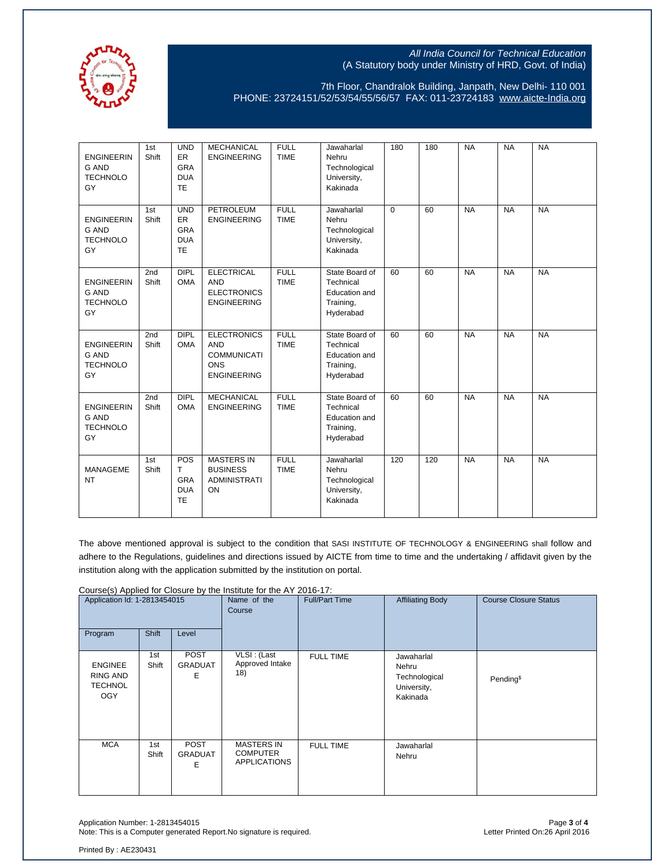

7th Floor, Chandralok Building, Janpath, New Delhi- 110 001 PHONE: 23724151/52/53/54/55/56/57 FAX: 011-23724183 [www.aicte-India.org](http://www.aicte-india.org/)

| <b>ENGINEERIN</b><br><b>G AND</b><br><b>TECHNOLO</b><br>GY | 1st<br>Shift | <b>UND</b><br>ER<br><b>GRA</b><br><b>DUA</b><br><b>TE</b> | <b>MECHANICAL</b><br><b>ENGINEERING</b>                                                    | <b>FULL</b><br><b>TIME</b> | Jawaharlal<br>Nehru<br>Technological<br>University,<br>Kakinada               | 180      | 180 | <b>NA</b> | <b>NA</b> | <b>NA</b> |
|------------------------------------------------------------|--------------|-----------------------------------------------------------|--------------------------------------------------------------------------------------------|----------------------------|-------------------------------------------------------------------------------|----------|-----|-----------|-----------|-----------|
| <b>ENGINEERIN</b><br><b>G AND</b><br><b>TECHNOLO</b><br>GY | 1st<br>Shift | <b>UND</b><br>ER<br><b>GRA</b><br><b>DUA</b><br><b>TE</b> | <b>PETROLEUM</b><br><b>ENGINEERING</b>                                                     | <b>FULL</b><br><b>TIME</b> | Jawaharlal<br>Nehru<br>Technological<br>University,<br>Kakinada               | $\Omega$ | 60  | <b>NA</b> | <b>NA</b> | <b>NA</b> |
| <b>ENGINEERIN</b><br><b>G AND</b><br><b>TECHNOLO</b><br>GY | 2nd<br>Shift | <b>DIPL</b><br><b>OMA</b>                                 | <b>ELECTRICAL</b><br><b>AND</b><br><b>ELECTRONICS</b><br><b>ENGINEERING</b>                | <b>FULL</b><br><b>TIME</b> | State Board of<br>Technical<br>Education and<br>Training,<br>Hyderabad        | 60       | 60  | <b>NA</b> | <b>NA</b> | <b>NA</b> |
| <b>ENGINEERIN</b><br><b>G AND</b><br><b>TECHNOLO</b><br>GY | 2nd<br>Shift | <b>DIPL</b><br><b>OMA</b>                                 | <b>ELECTRONICS</b><br><b>AND</b><br><b>COMMUNICATI</b><br><b>ONS</b><br><b>ENGINEERING</b> | <b>FULL</b><br><b>TIME</b> | State Board of<br>Technical<br>Education and<br>Training,<br>Hyderabad        | 60       | 60  | <b>NA</b> | <b>NA</b> | <b>NA</b> |
| <b>ENGINEERIN</b><br><b>G AND</b><br><b>TECHNOLO</b><br>GY | 2nd<br>Shift | <b>DIPL</b><br><b>OMA</b>                                 | <b>MECHANICAL</b><br><b>ENGINEERING</b>                                                    | <b>FULL</b><br><b>TIME</b> | State Board of<br>Technical<br><b>Education and</b><br>Training,<br>Hyderabad | 60       | 60  | <b>NA</b> | <b>NA</b> | <b>NA</b> |
| <b>MANAGEME</b><br><b>NT</b>                               | 1st<br>Shift | POS<br>T<br>GRA<br><b>DUA</b><br><b>TE</b>                | <b>MASTERS IN</b><br><b>BUSINESS</b><br><b>ADMINISTRATI</b><br>ON                          | <b>FULL</b><br><b>TIME</b> | Jawaharlal<br>Nehru<br>Technological<br>University,<br>Kakinada               | 120      | 120 | <b>NA</b> | <b>NA</b> | <b>NA</b> |

The above mentioned approval is subject to the condition that SASI INSTITUTE OF TECHNOLOGY & ENGINEERING shall follow and adhere to the Regulations, guidelines and directions issued by AICTE from time to time and the undertaking / affidavit given by the institution along with the application submitted by the institution on portal.

Course(s) Applied for Closure by the Institute for the AY 2016-17:

| Application Id: 1-2813454015                               |              | Name of the<br>Course              | <b>Full/Part Time</b>                                       |                  | <b>Course Closure Status</b>                                    |                       |
|------------------------------------------------------------|--------------|------------------------------------|-------------------------------------------------------------|------------------|-----------------------------------------------------------------|-----------------------|
| Program                                                    | Shift        | Level                              |                                                             |                  |                                                                 |                       |
| <b>ENGINEE</b><br>RING AND<br><b>TECHNOL</b><br><b>OGY</b> | 1st<br>Shift | <b>POST</b><br><b>GRADUAT</b><br>Ε | VLSI: (Last<br>Approved Intake<br>18)                       | <b>FULL TIME</b> | Jawaharlal<br>Nehru<br>Technological<br>University,<br>Kakinada | Pending <sup>\$</sup> |
| <b>MCA</b>                                                 | 1st<br>Shift | <b>POST</b><br><b>GRADUAT</b><br>Ε | <b>MASTERS IN</b><br><b>COMPUTER</b><br><b>APPLICATIONS</b> | <b>FULL TIME</b> | Jawaharlal<br>Nehru                                             |                       |